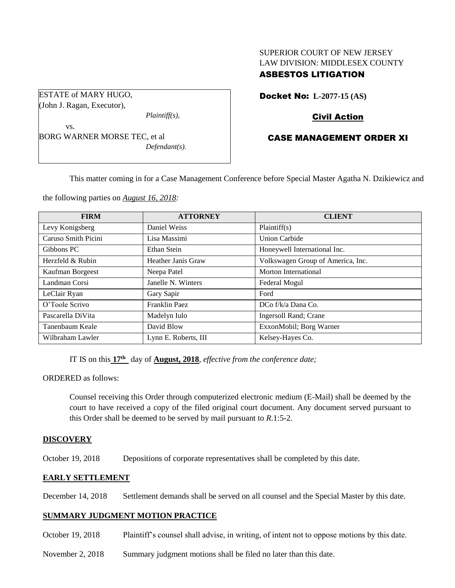# SUPERIOR COURT OF NEW JERSEY LAW DIVISION: MIDDLESEX COUNTY

## ASBESTOS LITIGATION

ESTATE of MARY HUGO, (John J. Ragan, Executor),

*Plaintiff(s),*

vs. BORG WARNER MORSE TEC, et al *Defendant(s).* Docket No: **L-2077-15 (AS)** 

## Civil Action

## CASE MANAGEMENT ORDER XI

This matter coming in for a Case Management Conference before Special Master Agatha N. Dzikiewicz and

the following parties on *August 16, 2018:*

| <b>FIRM</b>         | <b>ATTORNEY</b>      | <b>CLIENT</b>                     |
|---------------------|----------------------|-----------------------------------|
| Levy Konigsberg     | Daniel Weiss         | Plaintiff(s)                      |
| Caruso Smith Picini | Lisa Massimi         | <b>Union Carbide</b>              |
| Gibbons PC          | Ethan Stein          | Honeywell International Inc.      |
| Herzfeld & Rubin    | Heather Janis Graw   | Volkswagen Group of America, Inc. |
| Kaufman Borgeest    | Neepa Patel          | Morton International              |
| Landman Corsi       | Janelle N. Winters   | Federal Mogul                     |
| LeClair Ryan        | Gary Sapir           | Ford                              |
| O'Toole Scrivo      | Franklin Paez        | DCo f/k/a Dana Co.                |
| Pascarella DiVita   | Madelyn Iulo         | Ingersoll Rand; Crane             |
| Tanenbaum Keale     | David Blow           | ExxonMobil; Borg Warner           |
| Wilbraham Lawler    | Lynn E. Roberts, III | Kelsey-Hayes Co.                  |

IT IS on this **17 th** day of **August, 2018**, *effective from the conference date;*

ORDERED as follows:

Counsel receiving this Order through computerized electronic medium (E-Mail) shall be deemed by the court to have received a copy of the filed original court document. Any document served pursuant to this Order shall be deemed to be served by mail pursuant to *R*.1:5-2.

#### **DISCOVERY**

October 19, 2018 Depositions of corporate representatives shall be completed by this date.

### **EARLY SETTLEMENT**

December 14, 2018 Settlement demands shall be served on all counsel and the Special Master by this date.

#### **SUMMARY JUDGMENT MOTION PRACTICE**

- October 19, 2018 Plaintiff's counsel shall advise, in writing, of intent not to oppose motions by this date.
- November 2, 2018 Summary judgment motions shall be filed no later than this date.